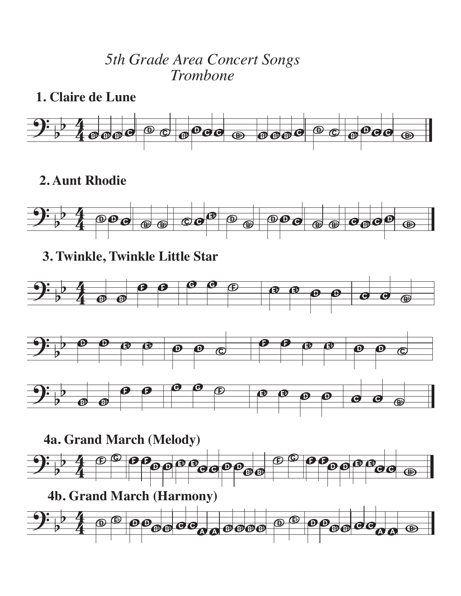## *5th Grade Area Concert Songs Trombone*